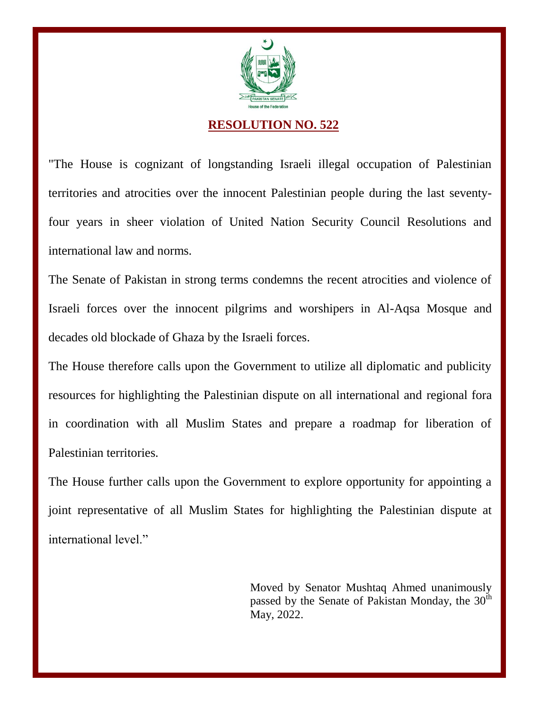

## **RESOLUTION NO. 522**

"The House is cognizant of longstanding Israeli illegal occupation of Palestinian territories and atrocities over the innocent Palestinian people during the last seventyfour years in sheer violation of United Nation Security Council Resolutions and international law and norms.

The Senate of Pakistan in strong terms condemns the recent atrocities and violence of Israeli forces over the innocent pilgrims and worshipers in Al-Aqsa Mosque and decades old blockade of Ghaza by the Israeli forces.

The House therefore calls upon the Government to utilize all diplomatic and publicity resources for highlighting the Palestinian dispute on all international and regional fora in coordination with all Muslim States and prepare a roadmap for liberation of Palestinian territories.

The House further calls upon the Government to explore opportunity for appointing a joint representative of all Muslim States for highlighting the Palestinian dispute at international level."

> Moved by Senator Mushtaq Ahmed unanimously passed by the Senate of Pakistan Monday, the  $30<sup>th</sup>$ May, 2022.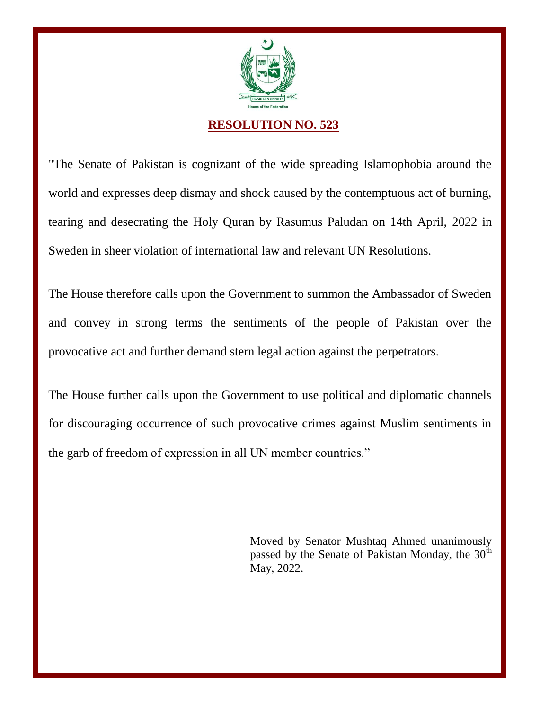

## **RESOLUTION NO. 523**

"The Senate of Pakistan is cognizant of the wide spreading Islamophobia around the world and expresses deep dismay and shock caused by the contemptuous act of burning, tearing and desecrating the Holy Quran by Rasumus Paludan on 14th April, 2022 in Sweden in sheer violation of international law and relevant UN Resolutions.

The House therefore calls upon the Government to summon the Ambassador of Sweden and convey in strong terms the sentiments of the people of Pakistan over the provocative act and further demand stern legal action against the perpetrators.

The House further calls upon the Government to use political and diplomatic channels for discouraging occurrence of such provocative crimes against Muslim sentiments in the garb of freedom of expression in all UN member countries."

> Moved by Senator Mushtaq Ahmed unanimously passed by the Senate of Pakistan Monday, the  $30<sup>th</sup>$ May, 2022.